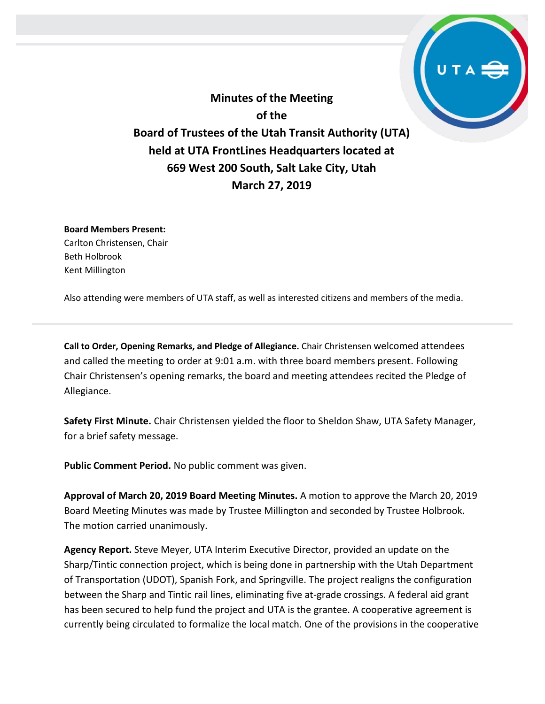**Minutes of the Meeting of the Board of Trustees of the Utah Transit Authority (UTA) held at UTA FrontLines Headquarters located at 669 West 200 South, Salt Lake City, Utah March 27, 2019**

**Board Members Present:** Carlton Christensen, Chair Beth Holbrook Kent Millington

Also attending were members of UTA staff, as well as interested citizens and members of the media.

**Call to Order, Opening Remarks, and Pledge of Allegiance.** Chair Christensen welcomed attendees and called the meeting to order at 9:01 a.m. with three board members present. Following Chair Christensen's opening remarks, the board and meeting attendees recited the Pledge of Allegiance.

**Safety First Minute.** Chair Christensen yielded the floor to Sheldon Shaw, UTA Safety Manager, for a brief safety message.

**Public Comment Period.** No public comment was given.

**Approval of March 20, 2019 Board Meeting Minutes.** A motion to approve the March 20, 2019 Board Meeting Minutes was made by Trustee Millington and seconded by Trustee Holbrook. The motion carried unanimously.

**Agency Report.** Steve Meyer, UTA Interim Executive Director, provided an update on the Sharp/Tintic connection project, which is being done in partnership with the Utah Department of Transportation (UDOT), Spanish Fork, and Springville. The project realigns the configuration between the Sharp and Tintic rail lines, eliminating five at-grade crossings. A federal aid grant has been secured to help fund the project and UTA is the grantee. A cooperative agreement is currently being circulated to formalize the local match. One of the provisions in the cooperative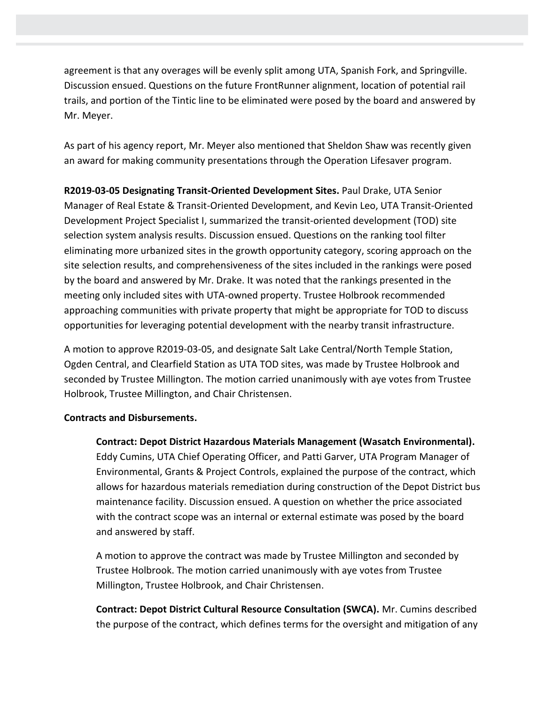agreement is that any overages will be evenly split among UTA, Spanish Fork, and Springville. Discussion ensued. Questions on the future FrontRunner alignment, location of potential rail trails, and portion of the Tintic line to be eliminated were posed by the board and answered by Mr. Meyer.

As part of his agency report, Mr. Meyer also mentioned that Sheldon Shaw was recently given an award for making community presentations through the Operation Lifesaver program.

**R2019-03-05 Designating Transit-Oriented Development Sites.** Paul Drake, UTA Senior Manager of Real Estate & Transit-Oriented Development, and Kevin Leo, UTA Transit-Oriented Development Project Specialist I, summarized the transit-oriented development (TOD) site selection system analysis results. Discussion ensued. Questions on the ranking tool filter eliminating more urbanized sites in the growth opportunity category, scoring approach on the site selection results, and comprehensiveness of the sites included in the rankings were posed by the board and answered by Mr. Drake. It was noted that the rankings presented in the meeting only included sites with UTA-owned property. Trustee Holbrook recommended approaching communities with private property that might be appropriate for TOD to discuss opportunities for leveraging potential development with the nearby transit infrastructure.

A motion to approve R2019-03-05, and designate Salt Lake Central/North Temple Station, Ogden Central, and Clearfield Station as UTA TOD sites, was made by Trustee Holbrook and seconded by Trustee Millington. The motion carried unanimously with aye votes from Trustee Holbrook, Trustee Millington, and Chair Christensen.

## **Contracts and Disbursements.**

**Contract: Depot District Hazardous Materials Management (Wasatch Environmental).** Eddy Cumins, UTA Chief Operating Officer, and Patti Garver, UTA Program Manager of Environmental, Grants & Project Controls, explained the purpose of the contract, which allows for hazardous materials remediation during construction of the Depot District bus maintenance facility. Discussion ensued. A question on whether the price associated with the contract scope was an internal or external estimate was posed by the board and answered by staff.

A motion to approve the contract was made by Trustee Millington and seconded by Trustee Holbrook. The motion carried unanimously with aye votes from Trustee Millington, Trustee Holbrook, and Chair Christensen.

**Contract: Depot District Cultural Resource Consultation (SWCA).** Mr. Cumins described the purpose of the contract, which defines terms for the oversight and mitigation of any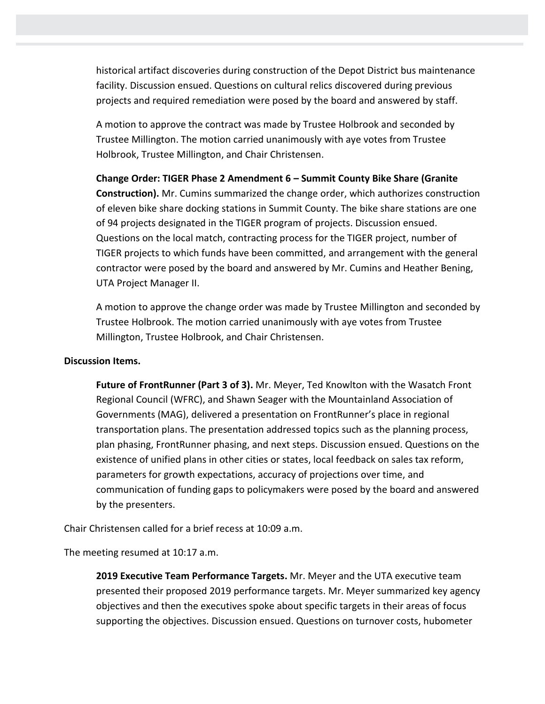historical artifact discoveries during construction of the Depot District bus maintenance facility. Discussion ensued. Questions on cultural relics discovered during previous projects and required remediation were posed by the board and answered by staff.

A motion to approve the contract was made by Trustee Holbrook and seconded by Trustee Millington. The motion carried unanimously with aye votes from Trustee Holbrook, Trustee Millington, and Chair Christensen.

**Change Order: TIGER Phase 2 Amendment 6 – Summit County Bike Share (Granite Construction).** Mr. Cumins summarized the change order, which authorizes construction of eleven bike share docking stations in Summit County. The bike share stations are one of 94 projects designated in the TIGER program of projects. Discussion ensued. Questions on the local match, contracting process for the TIGER project, number of TIGER projects to which funds have been committed, and arrangement with the general contractor were posed by the board and answered by Mr. Cumins and Heather Bening, UTA Project Manager II.

A motion to approve the change order was made by Trustee Millington and seconded by Trustee Holbrook. The motion carried unanimously with aye votes from Trustee Millington, Trustee Holbrook, and Chair Christensen.

## **Discussion Items.**

**Future of FrontRunner (Part 3 of 3).** Mr. Meyer, Ted Knowlton with the Wasatch Front Regional Council (WFRC), and Shawn Seager with the Mountainland Association of Governments (MAG), delivered a presentation on FrontRunner's place in regional transportation plans. The presentation addressed topics such as the planning process, plan phasing, FrontRunner phasing, and next steps. Discussion ensued. Questions on the existence of unified plans in other cities or states, local feedback on sales tax reform, parameters for growth expectations, accuracy of projections over time, and communication of funding gaps to policymakers were posed by the board and answered by the presenters.

Chair Christensen called for a brief recess at 10:09 a.m.

The meeting resumed at 10:17 a.m.

**2019 Executive Team Performance Targets.** Mr. Meyer and the UTA executive team presented their proposed 2019 performance targets. Mr. Meyer summarized key agency objectives and then the executives spoke about specific targets in their areas of focus supporting the objectives. Discussion ensued. Questions on turnover costs, hubometer